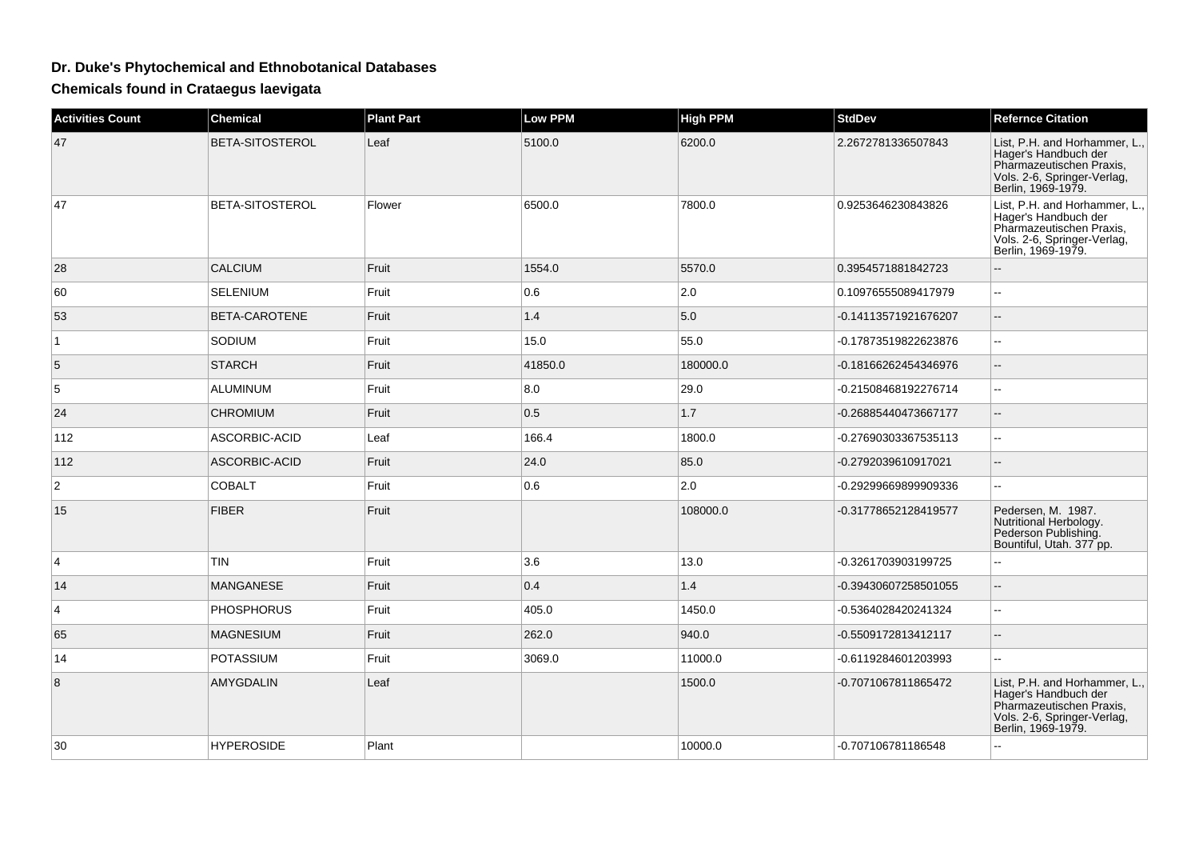## **Dr. Duke's Phytochemical and Ethnobotanical Databases**

**Chemicals found in Crataegus laevigata**

| <b>Activities Count</b> | <b>Chemical</b>   | <b>Plant Part</b> | <b>Low PPM</b> | <b>High PPM</b> | <b>StdDev</b>        | <b>Refernce Citation</b>                                                                                                               |
|-------------------------|-------------------|-------------------|----------------|-----------------|----------------------|----------------------------------------------------------------------------------------------------------------------------------------|
| 47                      | BETA-SITOSTEROL   | Leaf              | 5100.0         | 6200.0          | 2.2672781336507843   | List, P.H. and Horhammer, L.,<br>Hager's Handbuch der<br>Pharmazeutischen Praxis,<br>Vols. 2-6, Springer-Verlag,<br>Berlin, 1969-1979. |
| 47                      | BETA-SITOSTEROL   | Flower            | 6500.0         | 7800.0          | 0.9253646230843826   | List, P.H. and Horhammer, L.<br>Hager's Handbuch der<br>Pharmazeutischen Praxis.<br>Vols. 2-6, Springer-Verlag,<br>Berlin, 1969-1979.  |
| 28                      | <b>CALCIUM</b>    | Fruit             | 1554.0         | 5570.0          | 0.3954571881842723   | --                                                                                                                                     |
| 60                      | <b>SELENIUM</b>   | Fruit             | 0.6            | 2.0             | 0.10976555089417979  | $\overline{a}$                                                                                                                         |
| 53                      | BETA-CAROTENE     | Fruit             | $1.4$          | 5.0             | -0.14113571921676207 | $\qquad \qquad -$                                                                                                                      |
| $\mathbf 1$             | SODIUM            | Fruit             | 15.0           | 55.0            | -0.17873519822623876 | $\overline{a}$                                                                                                                         |
| 5                       | <b>STARCH</b>     | Fruit             | 41850.0        | 180000.0        | -0.18166262454346976 | $\qquad \qquad -$                                                                                                                      |
| 5                       | ALUMINUM          | Fruit             | 8.0            | 29.0            | -0.21508468192276714 | $\sim$                                                                                                                                 |
| 24                      | <b>CHROMIUM</b>   | Fruit             | 0.5            | 1.7             | -0.26885440473667177 | $\qquad \qquad -$                                                                                                                      |
| 112                     | ASCORBIC-ACID     | Leaf              | 166.4          | 1800.0          | -0.27690303367535113 | $\overline{a}$                                                                                                                         |
| 112                     | ASCORBIC-ACID     | Fruit             | 24.0           | 85.0            | -0.2792039610917021  | $\overline{a}$                                                                                                                         |
| $\overline{c}$          | <b>COBALT</b>     | Fruit             | 0.6            | 2.0             | -0.29299669899909336 | Ξ.                                                                                                                                     |
| 15                      | <b>FIBER</b>      | Fruit             |                | 108000.0        | -0.31778652128419577 | Pedersen, M. 1987.<br>Nutritional Herbology.<br>Pederson Publishing.<br>Bountiful, Utah. 377 pp.                                       |
| 4                       | <b>TIN</b>        | Fruit             | 3.6            | 13.0            | -0.3261703903199725  | $\overline{a}$                                                                                                                         |
| 14                      | <b>MANGANESE</b>  | Fruit             | 0.4            | 1.4             | -0.39430607258501055 |                                                                                                                                        |
| 4                       | <b>PHOSPHORUS</b> | Fruit             | 405.0          | 1450.0          | -0.5364028420241324  | $\overline{a}$                                                                                                                         |
| 65                      | <b>MAGNESIUM</b>  | Fruit             | 262.0          | 940.0           | -0.5509172813412117  | $\qquad \qquad -$                                                                                                                      |
| 14                      | <b>POTASSIUM</b>  | Fruit             | 3069.0         | 11000.0         | -0.6119284601203993  | 44                                                                                                                                     |
| 8                       | AMYGDALIN         | Leaf              |                | 1500.0          | -0.7071067811865472  | List, P.H. and Horhammer, L.,<br>Hager's Handbuch der<br>Pharmazeutischen Praxis,<br>Vols. 2-6, Springer-Verlag,<br>Berlin, 1969-1979. |
| 30                      | <b>HYPEROSIDE</b> | Plant             |                | 10000.0         | -0.707106781186548   |                                                                                                                                        |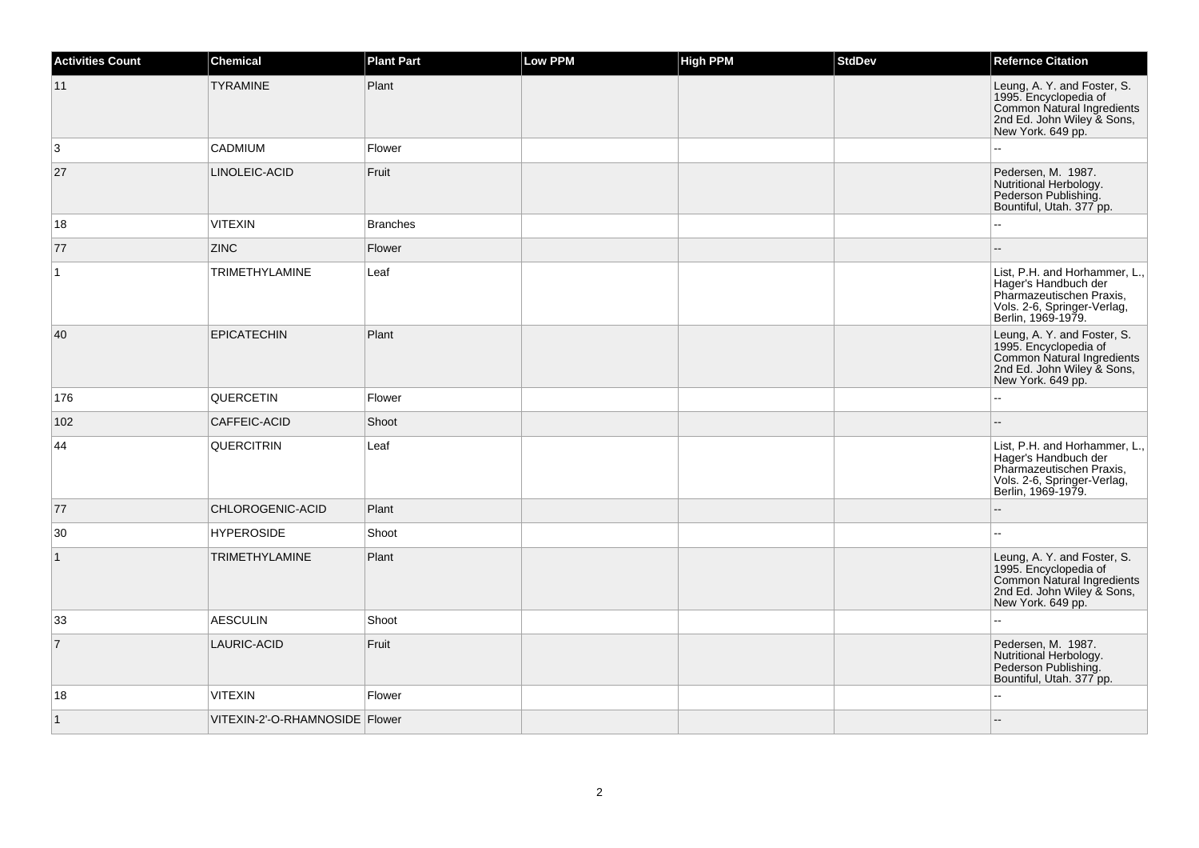| Activities Count | <b>Chemical</b>                  | <b>Plant Part</b> | Low PPM | <b>High PPM</b> | <b>StdDev</b> | <b>Refernce Citation</b>                                                                                                               |
|------------------|----------------------------------|-------------------|---------|-----------------|---------------|----------------------------------------------------------------------------------------------------------------------------------------|
| 11               | <b>TYRAMINE</b>                  | Plant             |         |                 |               | Leung, A. Y. and Foster, S.<br>1995. Encyclopedia of<br>Common Natural Ingredients<br>2nd Ed. John Wiley & Sons,<br>New York. 649 pp.  |
| 3                | CADMIUM                          | Flower            |         |                 |               |                                                                                                                                        |
| 27               | LINOLEIC-ACID                    | Fruit             |         |                 |               | Pedersen, M. 1987.<br>Nutritional Herbology.<br>Pederson Publishing.<br>Bountiful, Utah. 377 pp.                                       |
| 18               | <b>VITEXIN</b>                   | <b>Branches</b>   |         |                 |               |                                                                                                                                        |
| 77               | <b>ZINC</b>                      | Flower            |         |                 |               |                                                                                                                                        |
| $\mathbf{1}$     | <b>TRIMETHYLAMINE</b>            | Leaf              |         |                 |               | List, P.H. and Horhammer, L.,<br>Hager's Handbuch der<br>Pharmazeutischen Praxis,<br>Vols. 2-6, Springer-Verlag,<br>Berlin, 1969-1979. |
| 40               | <b>EPICATECHIN</b>               | Plant             |         |                 |               | Leung, A. Y. and Foster, S.<br>1995. Encyclopedia of<br>Common Natural Ingredients<br>2nd Ed. John Wiley & Sons,<br>New York. 649 pp.  |
| 176              | QUERCETIN                        | Flower            |         |                 |               | $\sim$                                                                                                                                 |
| 102              | CAFFEIC-ACID                     | Shoot             |         |                 |               |                                                                                                                                        |
| 44               | <b>QUERCITRIN</b>                | Leaf              |         |                 |               | List, P.H. and Horhammer, L.,<br>Hager's Handbuch der<br>Pharmazeutischen Praxis,<br>Vols. 2-6, Springer-Verlag,<br>Berlin, 1969-1979. |
| 77               | CHLOROGENIC-ACID                 | Plant             |         |                 |               |                                                                                                                                        |
| 30               | <b>HYPEROSIDE</b>                | Shoot             |         |                 |               |                                                                                                                                        |
| $\mathbf{1}$     | <b>TRIMETHYLAMINE</b>            | Plant             |         |                 |               | Leung, A. Y. and Foster, S.<br>1995. Encyclopedia of<br>Common Natural Ingredients<br>2nd Ed. John Wiley & Sons,<br>New York. 649 pp.  |
| 33               | <b>AESCULIN</b>                  | Shoot             |         |                 |               |                                                                                                                                        |
| $\overline{7}$   | LAURIC-ACID                      | Fruit             |         |                 |               | Pedersen, M. 1987.<br>Nutritional Herbology.<br>Pederson Publishing.<br>Bountiful, Utah. 377 pp.                                       |
| 18               | <b>VITEXIN</b>                   | Flower            |         |                 |               |                                                                                                                                        |
| $\mathbf{1}$     | VITEXIN-2'-O-RHAMNOSIDE   Flower |                   |         |                 |               |                                                                                                                                        |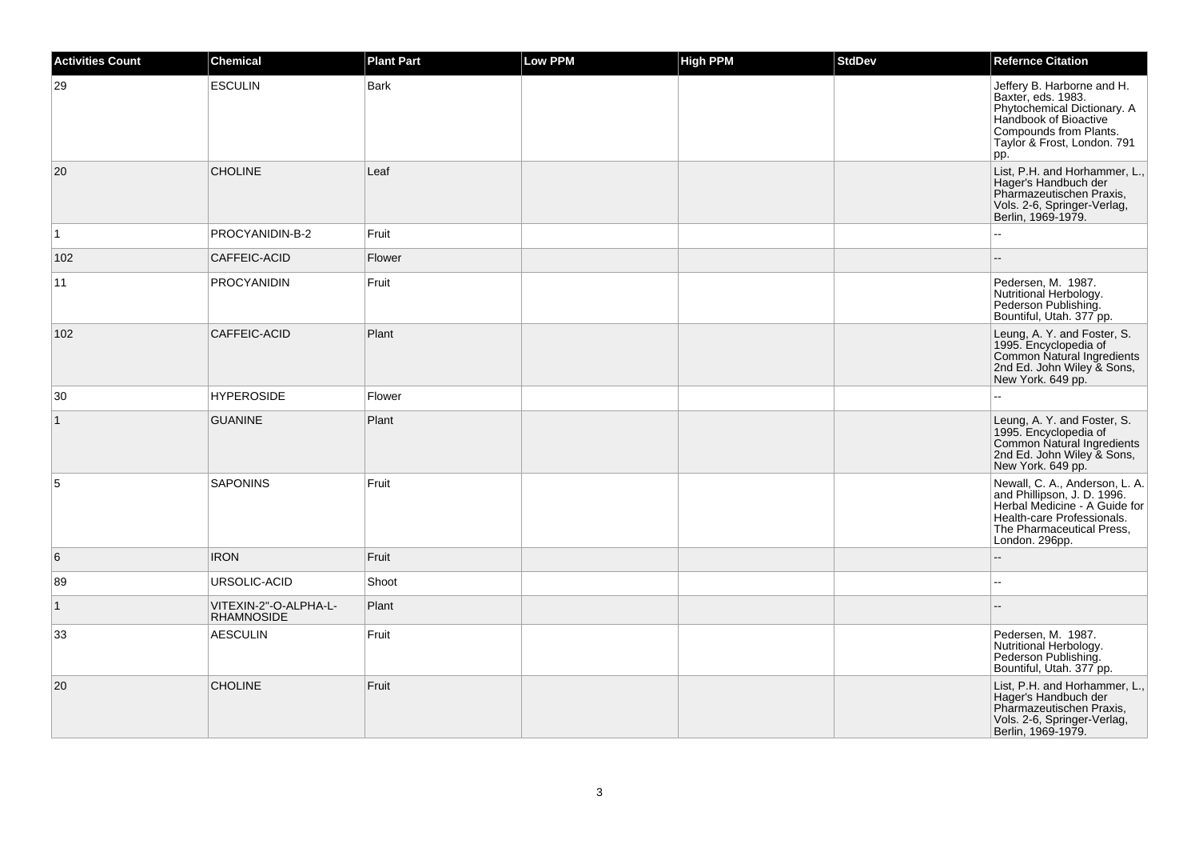| <b>Activities Count</b> | Chemical                                   | <b>Plant Part</b> | Low PPM | <b>High PPM</b> | <b>StdDev</b> | <b>Refernce Citation</b>                                                                                                                                                    |
|-------------------------|--------------------------------------------|-------------------|---------|-----------------|---------------|-----------------------------------------------------------------------------------------------------------------------------------------------------------------------------|
| 29                      | <b>ESCULIN</b>                             | <b>Bark</b>       |         |                 |               | Jeffery B. Harborne and H.<br>Baxter, eds. 1983.<br>Phytochemical Dictionary. A<br>Handbook of Bioactive<br>Compounds from Plants.<br>Taylor & Frost, London. 791<br>pp.    |
| 20                      | <b>CHOLINE</b>                             | Leaf              |         |                 |               | List, P.H. and Horhammer, L.,<br>Hager's Handbuch der<br>Pharmazeutischen Praxis,<br>Vols. 2-6, Springer-Verlag,<br>Berlin, 1969-1979.                                      |
| $\vert$ 1               | PROCYANIDIN-B-2                            | Fruit             |         |                 |               | ٠.                                                                                                                                                                          |
| 102                     | CAFFEIC-ACID                               | Flower            |         |                 |               |                                                                                                                                                                             |
| 11                      | <b>PROCYANIDIN</b>                         | Fruit             |         |                 |               | Pedersen, M. 1987.<br>Nutritional Herbology.<br>Pederson Publishing.<br>Bountiful, Utah. 377 pp.                                                                            |
| 102                     | CAFFEIC-ACID                               | Plant             |         |                 |               | Leung, A. Y. and Foster, S.<br>1995. Encyclopedia of<br>Common Natural Ingredients<br>2nd Ed. John Wiley & Sons,<br>New York. 649 pp.                                       |
| 30                      | <b>HYPEROSIDE</b>                          | Flower            |         |                 |               |                                                                                                                                                                             |
| $\mathbf{1}$            | <b>GUANINE</b>                             | Plant             |         |                 |               | Leung, A. Y. and Foster, S.<br>1995. Encyclopedia of<br>Common Natural Ingredients<br>2nd Ed. John Wiley & Sons,<br>New York. 649 pp.                                       |
| 5                       | <b>SAPONINS</b>                            | Fruit             |         |                 |               | Newall, C. A., Anderson, L. A.<br>and Phillipson, J. D. 1996.<br>Herbal Medicine - A Guide for<br>Health-care Professionals.<br>The Pharmaceutical Press,<br>London. 296pp. |
| 6                       | <b>IRON</b>                                | Fruit             |         |                 |               |                                                                                                                                                                             |
| 89                      | URSOLIC-ACID                               | Shoot             |         |                 |               | $\mathbf{u}$                                                                                                                                                                |
| $\vert$ 1               | VITEXIN-2"-O-ALPHA-L-<br><b>RHAMNOSIDE</b> | Plant             |         |                 |               |                                                                                                                                                                             |
| 33                      | <b>AESCULIN</b>                            | Fruit             |         |                 |               | Pedersen, M. 1987.<br>Nutritional Herbology.<br>Pederson Publishing.<br>Bountiful, Utah. 377 pp.                                                                            |
| 20                      | <b>CHOLINE</b>                             | Fruit             |         |                 |               | List, P.H. and Horhammer, L.,<br>Hager's Handbuch der<br>Pharmazeutischen Praxis,<br>Vols. 2-6, Springer-Verlag,<br>Berlin, 1969-1979.                                      |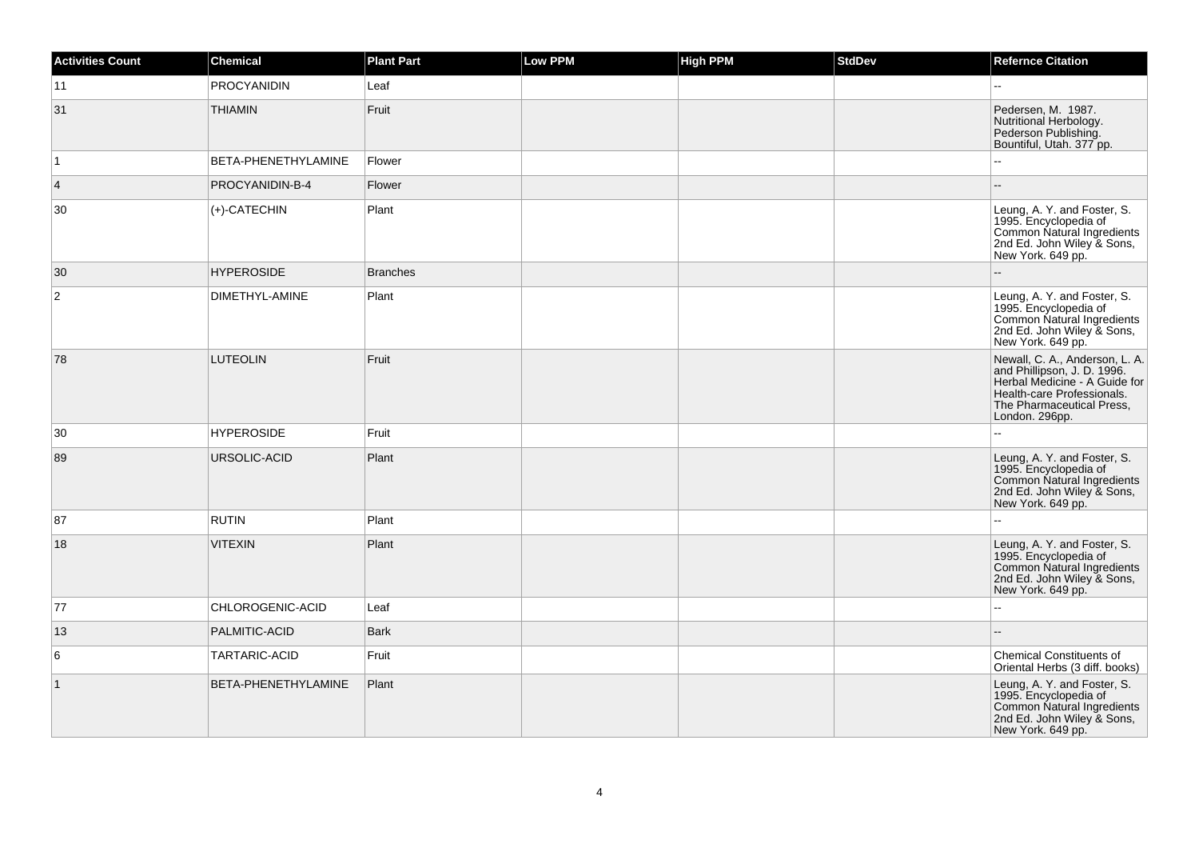| <b>Activities Count</b> | Chemical            | <b>Plant Part</b> | Low PPM | <b>High PPM</b> | <b>StdDev</b> | <b>Refernce Citation</b>                                                                                                                                                    |
|-------------------------|---------------------|-------------------|---------|-----------------|---------------|-----------------------------------------------------------------------------------------------------------------------------------------------------------------------------|
| 11                      | <b>PROCYANIDIN</b>  | Leaf              |         |                 |               |                                                                                                                                                                             |
| 31                      | <b>THIAMIN</b>      | Fruit             |         |                 |               | Pedersen, M. 1987.<br>Nutritional Herbology.<br>Pederson Publishing.<br>Bountiful, Utah. 377 pp.                                                                            |
| $\vert$ 1               | BETA-PHENETHYLAMINE | Flower            |         |                 |               | $\overline{a}$                                                                                                                                                              |
| $\overline{4}$          | PROCYANIDIN-B-4     | Flower            |         |                 |               |                                                                                                                                                                             |
| 30                      | (+)-CATECHIN        | Plant             |         |                 |               | Leung, A. Y. and Foster, S.<br>1995. Encyclopedia of<br>Common Natural Ingredients<br>2nd Ed. John Wiley & Sons,<br>New York. 649 pp.                                       |
| 30                      | <b>HYPEROSIDE</b>   | <b>Branches</b>   |         |                 |               | Ξ.                                                                                                                                                                          |
| $\overline{c}$          | DIMETHYL-AMINE      | Plant             |         |                 |               | Leung, A. Y. and Foster, S.<br>1995. Encyclopedia of<br>Common Natural Ingredients<br>2nd Ed. John Wiley & Sons,<br>New York. 649 pp.                                       |
| 78                      | <b>LUTEOLIN</b>     | Fruit             |         |                 |               | Newall, C. A., Anderson, L. A.<br>and Phillipson, J. D. 1996.<br>Herbal Medicine - A Guide for<br>Health-care Professionals.<br>The Pharmaceutical Press,<br>London. 296pp. |
| 30                      | <b>HYPEROSIDE</b>   | Fruit             |         |                 |               |                                                                                                                                                                             |
| 89                      | URSOLIC-ACID        | Plant             |         |                 |               | Leung, A. Y. and Foster, S.<br>1995. Encyclopedia of<br>Common Natural Ingredients<br>2nd Ed. John Wiley & Sons,<br>New York. 649 pp.                                       |
| 87                      | <b>RUTIN</b>        | Plant             |         |                 |               |                                                                                                                                                                             |
| 18                      | <b>VITEXIN</b>      | Plant             |         |                 |               | Leung, A. Y. and Foster, S.<br>1995. Encyclopedia of<br>Common Natural Ingredients<br>2nd Ed. John Wiley & Sons,<br>New York. 649 pp.                                       |
| 77                      | CHLOROGENIC-ACID    | Leaf              |         |                 |               |                                                                                                                                                                             |
| 13                      | PALMITIC-ACID       | <b>Bark</b>       |         |                 |               |                                                                                                                                                                             |
| 6                       | TARTARIC-ACID       | Fruit             |         |                 |               | <b>Chemical Constituents of</b><br>Oriental Herbs (3 diff. books)                                                                                                           |
| $\vert$ 1               | BETA-PHENETHYLAMINE | Plant             |         |                 |               | Leung, A. Y. and Foster, S.<br>1995. Encyclopedia of<br>Common Natural Ingredients<br>2nd Ed. John Wiley & Sons,<br>New York. 649 pp.                                       |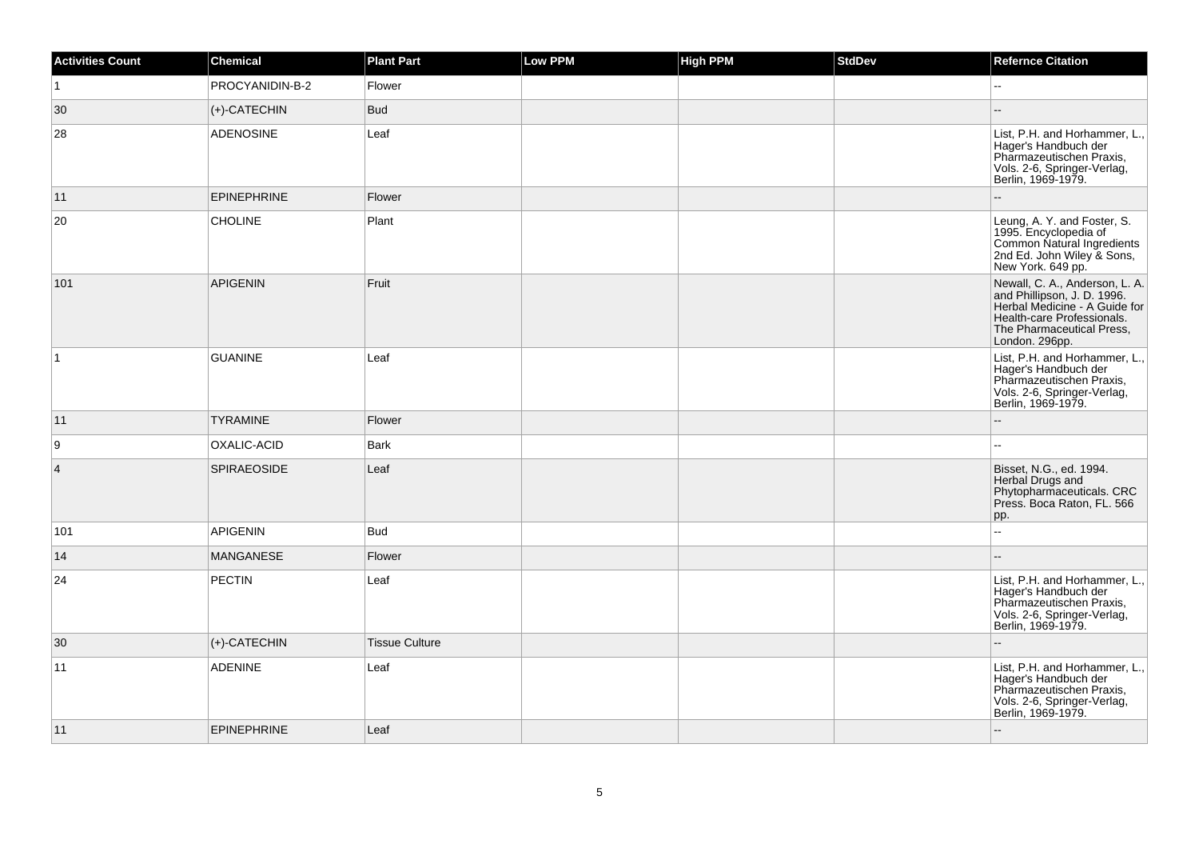| <b>Activities Count</b> | Chemical           | <b>Plant Part</b>     | <b>Low PPM</b> | High PPM | <b>StdDev</b> | <b>Refernce Citation</b>                                                                                                                                                    |
|-------------------------|--------------------|-----------------------|----------------|----------|---------------|-----------------------------------------------------------------------------------------------------------------------------------------------------------------------------|
| $\vert$ 1               | PROCYANIDIN-B-2    | Flower                |                |          |               | $\sim$                                                                                                                                                                      |
| 30                      | $ $ (+)-CATECHIN   | <b>Bud</b>            |                |          |               |                                                                                                                                                                             |
| 28                      | <b>ADENOSINE</b>   | Leaf                  |                |          |               | List, P.H. and Horhammer, L.,<br>Hager's Handbuch der<br>Pharmazeutischen Praxis,<br>Vols. 2-6, Springer-Verlag,<br>Berlin, 1969-1979.                                      |
| 11                      | <b>EPINEPHRINE</b> | Flower                |                |          |               |                                                                                                                                                                             |
| 20                      | <b>CHOLINE</b>     | Plant                 |                |          |               | Leung, A. Y. and Foster, S.<br>1995. Encyclopedia of<br>Common Natural Ingredients<br>2nd Ed. John Wiley & Sons,<br>New York. 649 pp.                                       |
| 101                     | <b>APIGENIN</b>    | Fruit                 |                |          |               | Newall, C. A., Anderson, L. A.<br>and Phillipson, J. D. 1996.<br>Herbal Medicine - A Guide for<br>Health-care Professionals.<br>The Pharmaceutical Press,<br>London. 296pp. |
| $\vert$ 1               | <b>GUANINE</b>     | Leaf                  |                |          |               | List, P.H. and Horhammer, L.,<br>Hager's Handbuch der<br>Pharmazeutischen Praxis,<br>Vols. 2-6, Springer-Verlag,<br>Berlin, 1969-1979.                                      |
| 11                      | <b>TYRAMINE</b>    | Flower                |                |          |               |                                                                                                                                                                             |
| 9                       | OXALIC-ACID        | Bark                  |                |          |               |                                                                                                                                                                             |
| $\vert$ 4               | <b>SPIRAEOSIDE</b> | Leaf                  |                |          |               | Bisset, N.G., ed. 1994.<br>Herbal Drugs and<br>Phytopharmaceuticals. CRC<br>Press. Boca Raton, FL. 566<br>pp.                                                               |
| 101                     | <b>APIGENIN</b>    | <b>Bud</b>            |                |          |               | ä.                                                                                                                                                                          |
| 14                      | <b>MANGANESE</b>   | Flower                |                |          |               |                                                                                                                                                                             |
| 24                      | <b>PECTIN</b>      | Leaf                  |                |          |               | List, P.H. and Horhammer, L.,<br>Hager's Handbuch der<br>Pharmazeutischen Praxis,<br>Vols. 2-6, Springer-Verlag,<br>Berlin, 1969-1979.                                      |
| 30                      | $(+)$ -CATECHIN    | <b>Tissue Culture</b> |                |          |               | $\overline{\phantom{a}}$                                                                                                                                                    |
| 11                      | <b>ADENINE</b>     | Leaf                  |                |          |               | List, P.H. and Horhammer, L.,<br>Hager's Handbuch der<br>Pharmazeutischen Praxis,<br>Vols. 2-6, Springer-Verlag,<br>Berlin, 1969-1979.                                      |
| 11                      | <b>EPINEPHRINE</b> | Leaf                  |                |          |               | $\sim$                                                                                                                                                                      |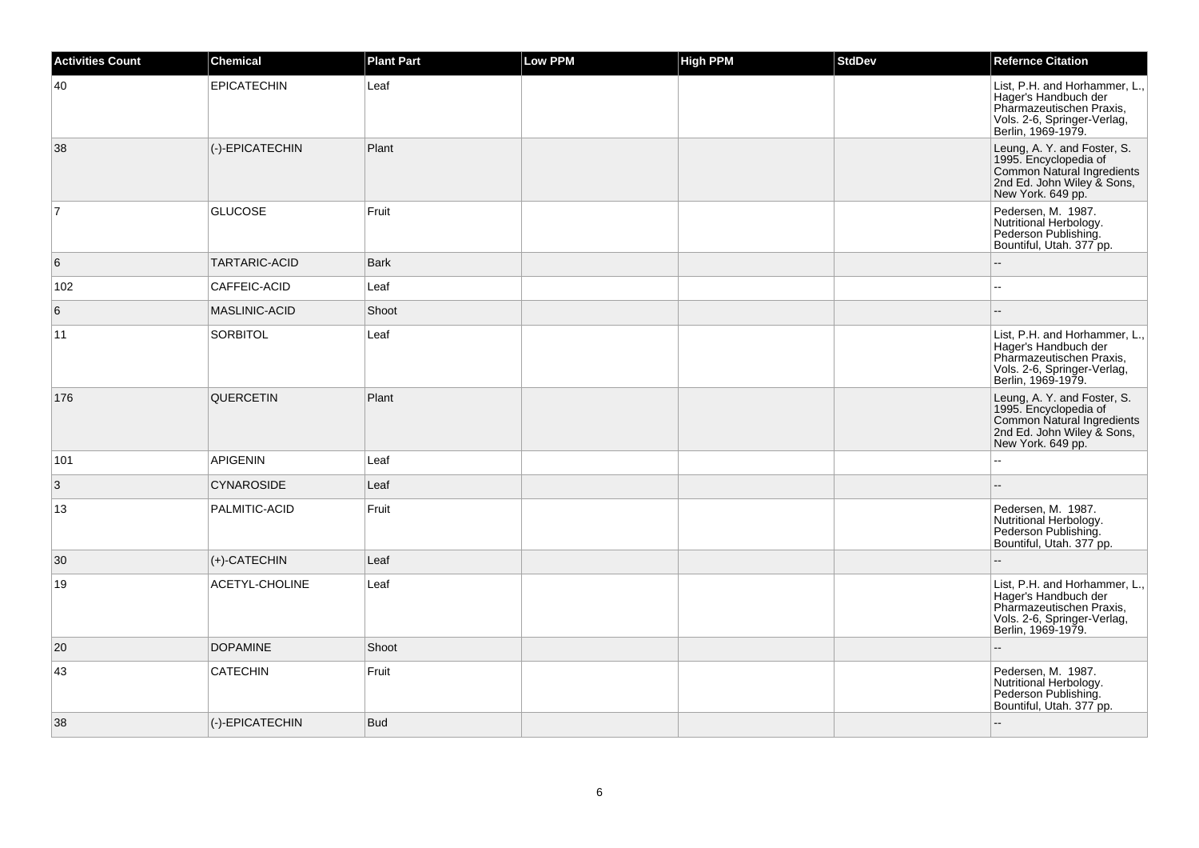| <b>Activities Count</b> | Chemical             | <b>Plant Part</b> | <b>Low PPM</b> | <b>High PPM</b> | <b>StdDev</b> | <b>Refernce Citation</b>                                                                                                               |
|-------------------------|----------------------|-------------------|----------------|-----------------|---------------|----------------------------------------------------------------------------------------------------------------------------------------|
| 40                      | <b>EPICATECHIN</b>   | Leaf              |                |                 |               | List, P.H. and Horhammer, L.,<br>Hager's Handbuch der<br>Pharmazeutischen Praxis,<br>Vols. 2-6, Springer-Verlag,<br>Berlin, 1969-1979. |
| 38                      | (-)-EPICATECHIN      | Plant             |                |                 |               | Leung, A. Y. and Foster, S.<br>1995. Encyclopedia of<br>Common Natural Ingredients<br>2nd Ed. John Wiley & Sons,<br>New York. 649 pp.  |
| $\overline{7}$          | <b>GLUCOSE</b>       | Fruit             |                |                 |               | Pedersen, M. 1987.<br>Nutritional Herbology.<br>Pederson Publishing.<br>Bountiful, Utah. 377 pp.                                       |
| 6                       | <b>TARTARIC-ACID</b> | <b>Bark</b>       |                |                 |               |                                                                                                                                        |
| 102                     | CAFFEIC-ACID         | Leaf              |                |                 |               | $\sim$                                                                                                                                 |
| 6                       | <b>MASLINIC-ACID</b> | Shoot             |                |                 |               |                                                                                                                                        |
| 11                      | <b>SORBITOL</b>      | Leaf              |                |                 |               | List, P.H. and Horhammer, L.,<br>Hager's Handbuch der<br>Pharmazeutischen Praxis,<br>Vols. 2-6, Springer-Verlag,<br>Berlin, 1969-1979. |
| 176                     | QUERCETIN            | Plant             |                |                 |               | Leung, A. Y. and Foster, S.<br>1995. Encyclopedia of<br>Common Natural Ingredients<br>2nd Ed. John Wiley & Sons,<br>New York. 649 pp.  |
| 101                     | <b>APIGENIN</b>      | Leaf              |                |                 |               |                                                                                                                                        |
| $\mathbf{3}$            | <b>CYNAROSIDE</b>    | Leaf              |                |                 |               |                                                                                                                                        |
| 13                      | PALMITIC-ACID        | Fruit             |                |                 |               | Pedersen, M. 1987.<br>Nutritional Herbology.<br>Pederson Publishing.<br>Bountiful, Utah. 377 pp.                                       |
| 30                      | (+)-CATECHIN         | Leaf              |                |                 |               |                                                                                                                                        |
| 19                      | ACETYL-CHOLINE       | Leaf              |                |                 |               | List, P.H. and Horhammer, L.,<br>Hager's Handbuch der<br>Pharmazeutischen Praxis,<br>Vols. 2-6, Springer-Verlag,<br>Berlin, 1969-1979. |
| 20                      | <b>DOPAMINE</b>      | Shoot             |                |                 |               |                                                                                                                                        |
| 43                      | <b>CATECHIN</b>      | Fruit             |                |                 |               | Pedersen, M. 1987.<br>Nutritional Herbology.<br>Pederson Publishing.<br>Bountiful, Utah. 377 pp.                                       |
| 38                      | (-)-EPICATECHIN      | <b>Bud</b>        |                |                 |               |                                                                                                                                        |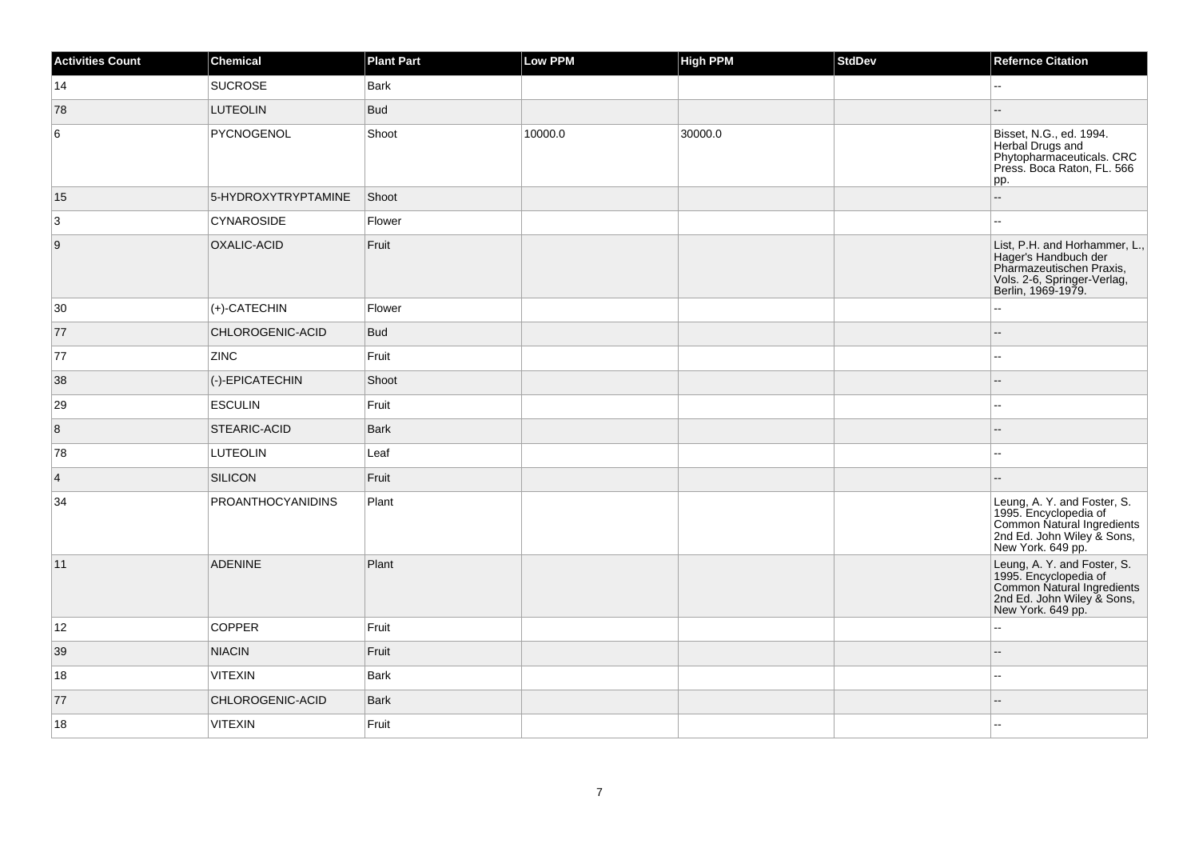| <b>Activities Count</b> | Chemical            | <b>Plant Part</b> | <b>Low PPM</b> | High PPM | StdDev | <b>Refernce Citation</b>                                                                                                               |
|-------------------------|---------------------|-------------------|----------------|----------|--------|----------------------------------------------------------------------------------------------------------------------------------------|
| 14                      | <b>SUCROSE</b>      | <b>Bark</b>       |                |          |        |                                                                                                                                        |
| 78                      | <b>LUTEOLIN</b>     | Bud               |                |          |        |                                                                                                                                        |
| 6                       | PYCNOGENOL          | Shoot             | 10000.0        | 30000.0  |        | Bisset, N.G., ed. 1994.<br>Herbal Drugs and<br>Phytopharmaceuticals. CRC<br>Press. Boca Raton, FL. 566<br>pp.                          |
| 15                      | 5-HYDROXYTRYPTAMINE | Shoot             |                |          |        | $\overline{\phantom{a}}$                                                                                                               |
| 3                       | <b>CYNAROSIDE</b>   | Flower            |                |          |        | $\sim$                                                                                                                                 |
| $\vert$ 9               | OXALIC-ACID         | Fruit             |                |          |        | List, P.H. and Horhammer, L.,<br>Hager's Handbuch der<br>Pharmazeutischen Praxis,<br>Vols. 2-6, Springer-Verlag,<br>Berlin, 1969-1979. |
| $ 30\rangle$            | $ $ (+)-CATECHIN    | Flower            |                |          |        | L.                                                                                                                                     |
| 77                      | CHLOROGENIC-ACID    | <b>Bud</b>        |                |          |        |                                                                                                                                        |
| 77                      | <b>ZINC</b>         | Fruit             |                |          |        | $\overline{\phantom{a}}$                                                                                                               |
| 38                      | (-)-EPICATECHIN     | Shoot             |                |          |        |                                                                                                                                        |
| 29                      | <b>ESCULIN</b>      | Fruit             |                |          |        |                                                                                                                                        |
| 8                       | STEARIC-ACID        | Bark              |                |          |        |                                                                                                                                        |
| 78                      | <b>LUTEOLIN</b>     | Leaf              |                |          |        | $\sim$                                                                                                                                 |
| $\vert$ 4               | SILICON             | Fruit             |                |          |        |                                                                                                                                        |
| 34                      | PROANTHOCYANIDINS   | Plant             |                |          |        | Leung, A. Y. and Foster, S.<br>1995. Encyclopedia of<br>Common Natural Ingredients<br>2nd Ed. John Wiley & Sons,<br>New York. 649 pp.  |
| 11                      | <b>ADENINE</b>      | Plant             |                |          |        | Leung, A. Y. and Foster, S.<br>1995. Encyclopedia of<br>Common Natural Ingredients<br>2nd Ed. John Wiley & Sons,<br>New York. 649 pp.  |
| 12                      | <b>COPPER</b>       | Fruit             |                |          |        |                                                                                                                                        |
| 39                      | <b>NIACIN</b>       | Fruit             |                |          |        | $\overline{\phantom{a}}$                                                                                                               |
| 18                      | <b>VITEXIN</b>      | <b>Bark</b>       |                |          |        | $\sim$                                                                                                                                 |
| 77                      | CHLOROGENIC-ACID    | <b>Bark</b>       |                |          |        |                                                                                                                                        |
| 18                      | VITEXIN             | Fruit             |                |          |        |                                                                                                                                        |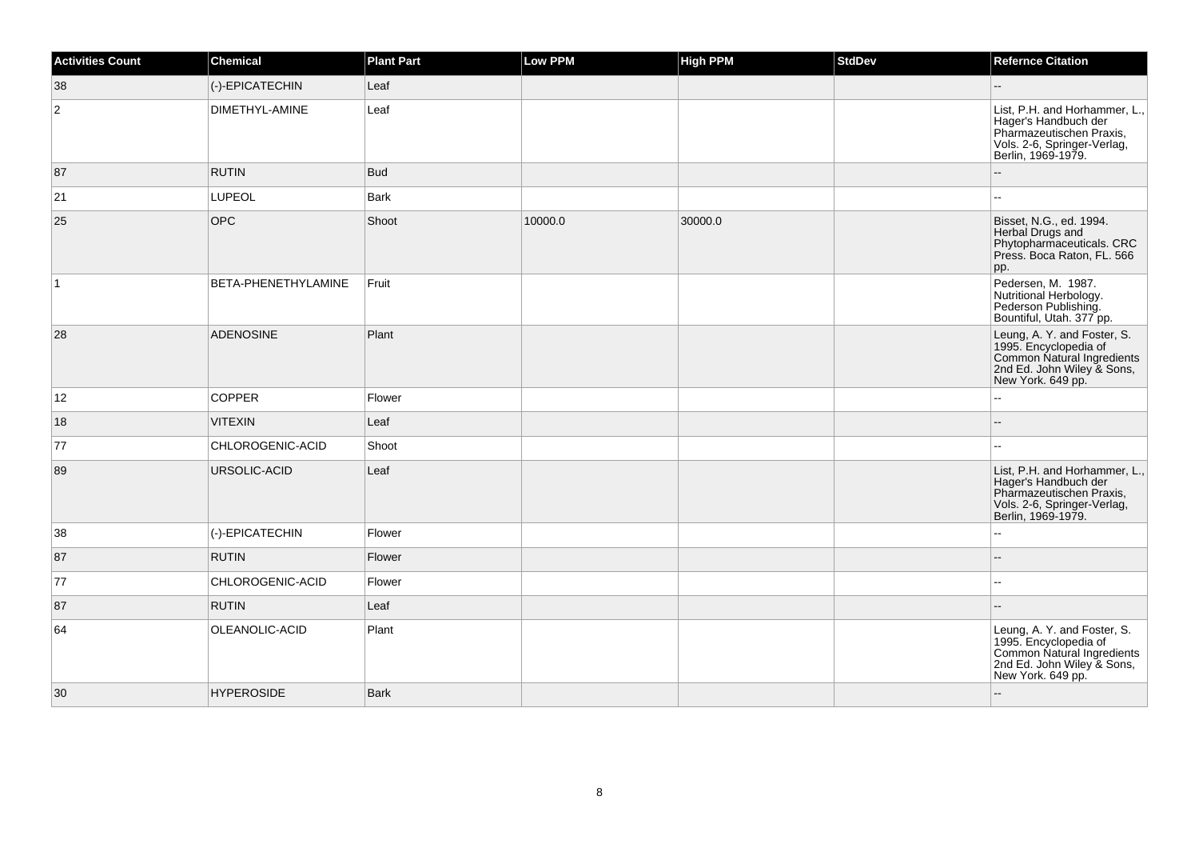| <b>Activities Count</b> | <b>Chemical</b>     | <b>Plant Part</b> | Low PPM | <b>High PPM</b> | <b>StdDev</b> | <b>Refernce Citation</b>                                                                                                               |
|-------------------------|---------------------|-------------------|---------|-----------------|---------------|----------------------------------------------------------------------------------------------------------------------------------------|
| 38                      | (-)-EPICATECHIN     | Leaf              |         |                 |               | Ξ.                                                                                                                                     |
| $\overline{2}$          | DIMETHYL-AMINE      | Leaf              |         |                 |               | List, P.H. and Horhammer, L.,<br>Hager's Handbuch der<br>Pharmazeutischen Praxis,<br>Vols. 2-6, Springer-Verlag,<br>Berlin, 1969-1979. |
| 87                      | <b>RUTIN</b>        | <b>Bud</b>        |         |                 |               | $\overline{a}$                                                                                                                         |
| 21                      | LUPEOL              | <b>Bark</b>       |         |                 |               |                                                                                                                                        |
| 25                      | <b>OPC</b>          | Shoot             | 10000.0 | 30000.0         |               | Bisset, N.G., ed. 1994.<br>Herbal Drugs and<br>Phytopharmaceuticals. CRC<br>Press. Boca Raton, FL. 566<br>pp.                          |
| $\mathbf{1}$            | BETA-PHENETHYLAMINE | Fruit             |         |                 |               | Pedersen, M. 1987.<br>Nutritional Herbology.<br>Pederson Publishing.<br>Bountiful, Utah. 377 pp.                                       |
| 28                      | <b>ADENOSINE</b>    | Plant             |         |                 |               | Leung, A. Y. and Foster, S.<br>1995. Encyclopedia of<br>Common Natural Ingredients<br>2nd Ed. John Wiley & Sons,<br>New York. 649 pp.  |
| 12                      | <b>COPPER</b>       | Flower            |         |                 |               |                                                                                                                                        |
| 18                      | <b>VITEXIN</b>      | Leaf              |         |                 |               | --                                                                                                                                     |
| 77                      | CHLOROGENIC-ACID    | Shoot             |         |                 |               |                                                                                                                                        |
| 89                      | URSOLIC-ACID        | Leaf              |         |                 |               | List, P.H. and Horhammer, L.,<br>Hager's Handbuch der<br>Pharmazeutischen Praxis,<br>Vols. 2-6, Springer-Verlag,<br>Berlin, 1969-1979. |
| 38                      | (-)-EPICATECHIN     | Flower            |         |                 |               |                                                                                                                                        |
| 87                      | <b>RUTIN</b>        | Flower            |         |                 |               |                                                                                                                                        |
| 77                      | CHLOROGENIC-ACID    | Flower            |         |                 |               | --                                                                                                                                     |
| 87                      | <b>RUTIN</b>        | Leaf              |         |                 |               |                                                                                                                                        |
| 64                      | OLEANOLIC-ACID      | Plant             |         |                 |               | Leung, A. Y. and Foster, S.<br>1995. Encyclopedia of<br>Common Natural Ingredients<br>2nd Ed. John Wiley & Sons,<br>New York. 649 pp.  |
| 30                      | <b>HYPEROSIDE</b>   | <b>Bark</b>       |         |                 |               | --                                                                                                                                     |